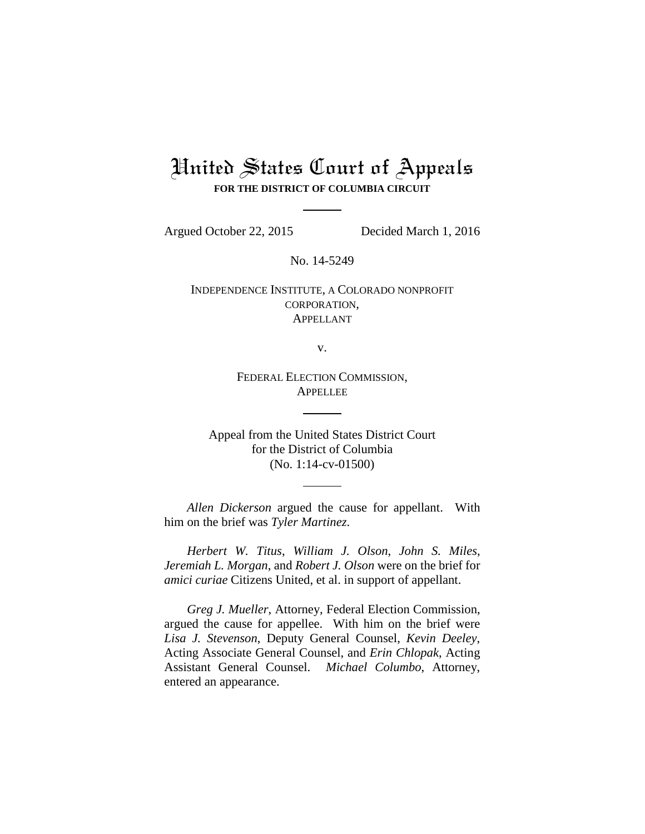## United States Court of Appeals **FOR THE DISTRICT OF COLUMBIA CIRCUIT**

Argued October 22, 2015 Decided March 1, 2016

No. 14-5249

INDEPENDENCE INSTITUTE, A COLORADO NONPROFIT CORPORATION, APPELLANT

v.

FEDERAL ELECTION COMMISSION, APPELLEE

Appeal from the United States District Court for the District of Columbia (No. 1:14-cv-01500)

*Allen Dickerson* argued the cause for appellant. With him on the brief was *Tyler Martinez*.

*Herbert W. Titus*, *William J. Olson*, *John S. Miles*, *Jeremiah L. Morgan*, and *Robert J. Olson* were on the brief for *amici curiae* Citizens United, et al. in support of appellant.

*Greg J. Mueller*, Attorney, Federal Election Commission, argued the cause for appellee. With him on the brief were *Lisa J. Stevenson*, Deputy General Counsel, *Kevin Deeley*, Acting Associate General Counsel, and *Erin Chlopak*, Acting Assistant General Counsel. *Michael Columbo*, Attorney, entered an appearance.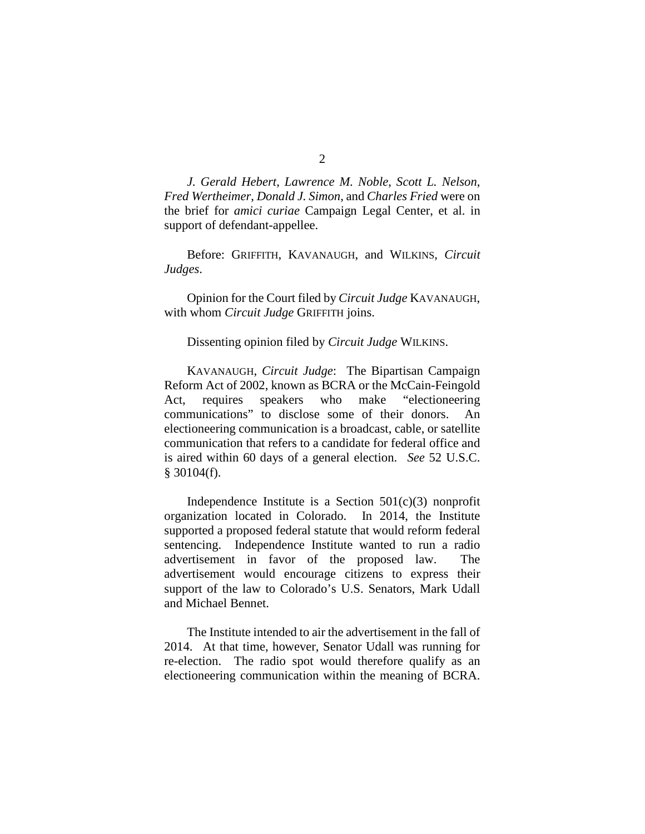*J. Gerald Hebert*, *Lawrence M. Noble*, *Scott L. Nelson*, *Fred Wertheimer*, *Donald J. Simon*, and *Charles Fried* were on the brief for *amici curiae* Campaign Legal Center, et al. in support of defendant-appellee.

Before: GRIFFITH, KAVANAUGH, and WILKINS, *Circuit Judges*.

Opinion for the Court filed by *Circuit Judge* KAVANAUGH, with whom *Circuit Judge* GRIFFITH joins.

Dissenting opinion filed by *Circuit Judge* WILKINS.

KAVANAUGH, *Circuit Judge*: The Bipartisan Campaign Reform Act of 2002, known as BCRA or the McCain-Feingold Act, requires speakers who make "electioneering communications" to disclose some of their donors. electioneering communication is a broadcast, cable, or satellite communication that refers to a candidate for federal office and is aired within 60 days of a general election. *See* 52 U.S.C. § 30104(f).

Independence Institute is a Section  $501(c)(3)$  nonprofit organization located in Colorado. In 2014, the Institute supported a proposed federal statute that would reform federal sentencing. Independence Institute wanted to run a radio advertisement in favor of the proposed law. The advertisement would encourage citizens to express their support of the law to Colorado's U.S. Senators, Mark Udall and Michael Bennet.

The Institute intended to air the advertisement in the fall of 2014. At that time, however, Senator Udall was running for re-election. The radio spot would therefore qualify as an electioneering communication within the meaning of BCRA.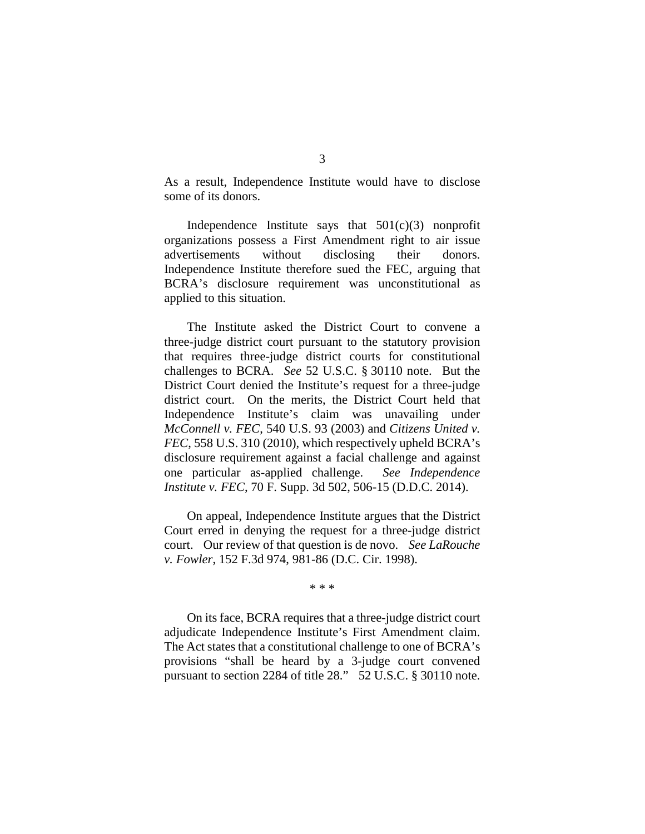As a result, Independence Institute would have to disclose some of its donors.

Independence Institute says that  $501(c)(3)$  nonprofit organizations possess a First Amendment right to air issue advertisements without disclosing their donors. Independence Institute therefore sued the FEC, arguing that BCRA's disclosure requirement was unconstitutional as applied to this situation.

The Institute asked the District Court to convene a three-judge district court pursuant to the statutory provision that requires three-judge district courts for constitutional challenges to BCRA. *See* 52 U.S.C. § 30110 note. But the District Court denied the Institute's request for a three-judge district court. On the merits, the District Court held that Independence Institute's claim was unavailing under *McConnell v. FEC*, 540 U.S. 93 (2003) and *Citizens United v. FEC*, 558 U.S. 310 (2010), which respectively upheld BCRA's disclosure requirement against a facial challenge and against one particular as-applied challenge. *See Independence Institute v. FEC*, 70 F. Supp. 3d 502, 506-15 (D.D.C. 2014).

On appeal, Independence Institute argues that the District Court erred in denying the request for a three-judge district court. Our review of that question is de novo. *See LaRouche v. Fowler*, 152 F.3d 974, 981-86 (D.C. Cir. 1998).

\* \* \*

On its face, BCRA requires that a three-judge district court adjudicate Independence Institute's First Amendment claim. The Act states that a constitutional challenge to one of BCRA's provisions "shall be heard by a 3-judge court convened pursuant to section 2284 of title 28." 52 U.S.C. § 30110 note.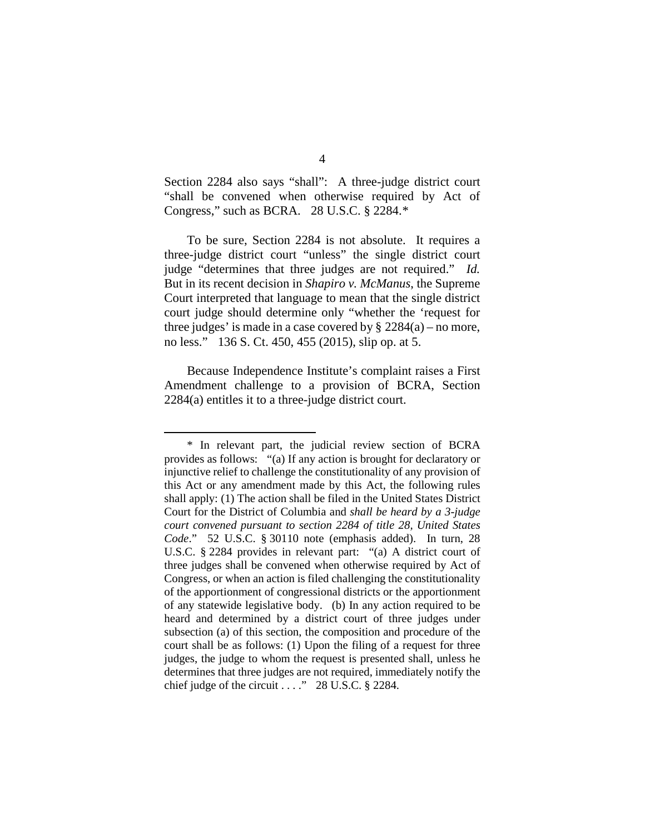Section 2284 also says "shall": A three-judge district court "shall be convened when otherwise required by Act of Congress," such as BCRA. 28 U.S.C. § 2284.[\\*](#page-3-0)

To be sure, Section 2284 is not absolute. It requires a three-judge district court "unless" the single district court judge "determines that three judges are not required." *Id.* But in its recent decision in *Shapiro v. McManus*, the Supreme Court interpreted that language to mean that the single district court judge should determine only "whether the 'request for three judges' is made in a case covered by  $\S 2284(a)$  – no more, no less." 136 S. Ct. 450, 455 (2015), slip op. at 5.

Because Independence Institute's complaint raises a First Amendment challenge to a provision of BCRA, Section 2284(a) entitles it to a three-judge district court.

 $\overline{a}$ 

<span id="page-3-0"></span><sup>\*</sup> In relevant part, the judicial review section of BCRA provides as follows: "(a) If any action is brought for declaratory or injunctive relief to challenge the constitutionality of any provision of this Act or any amendment made by this Act, the following rules shall apply: (1) The action shall be filed in the United States District Court for the District of Columbia and *shall be heard by a 3-judge court convened pursuant to section 2284 of title 28, United States Code*." 52 U.S.C. § 30110 note (emphasis added). In turn, 28 U.S.C. § 2284 provides in relevant part: "(a) A district court of three judges shall be convened when otherwise required by Act of Congress, or when an action is filed challenging the constitutionality of the apportionment of congressional districts or the apportionment of any statewide legislative body. (b) In any action required to be heard and determined by a district court of three judges under subsection (a) of this section, the composition and procedure of the court shall be as follows: (1) Upon the filing of a request for three judges, the judge to whom the request is presented shall, unless he determines that three judges are not required, immediately notify the chief judge of the circuit  $\ldots$ ." 28 U.S.C. § 2284.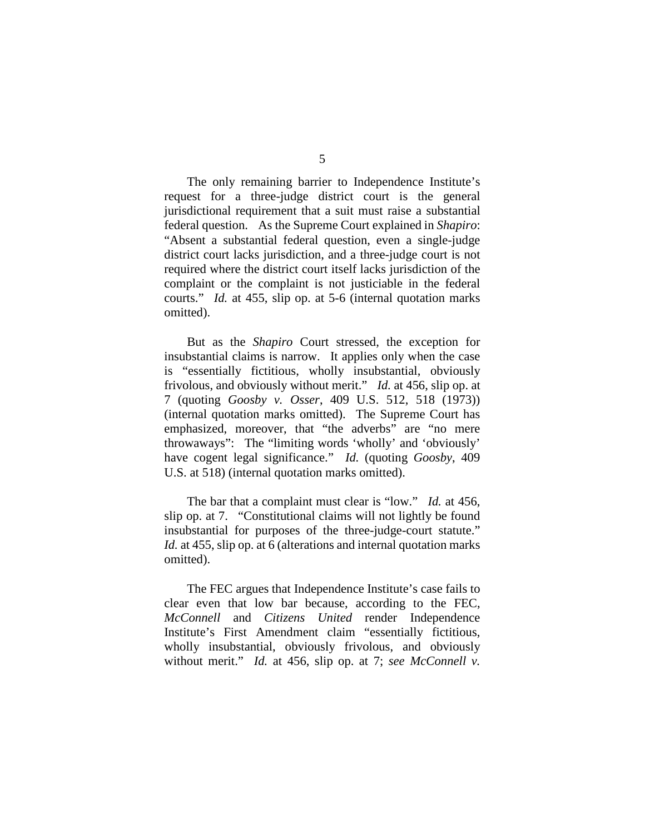The only remaining barrier to Independence Institute's request for a three-judge district court is the general jurisdictional requirement that a suit must raise a substantial federal question. As the Supreme Court explained in *Shapiro*: "Absent a substantial federal question, even a single-judge district court lacks jurisdiction, and a three-judge court is not required where the district court itself lacks jurisdiction of the complaint or the complaint is not justiciable in the federal courts." *Id.* at 455, slip op. at 5-6 (internal quotation marks omitted).

But as the *Shapiro* Court stressed, the exception for insubstantial claims is narrow. It applies only when the case is "essentially fictitious, wholly insubstantial, obviously frivolous, and obviously without merit." *Id.* at 456, slip op. at 7 (quoting *Goosby v. Osser*, 409 U.S. 512, 518 (1973)) (internal quotation marks omitted). The Supreme Court has emphasized, moreover, that "the adverbs" are "no mere throwaways": The "limiting words 'wholly' and 'obviously' have cogent legal significance." *Id.* (quoting *Goosby*, 409 U.S. at 518) (internal quotation marks omitted).

The bar that a complaint must clear is "low." *Id.* at 456, slip op. at 7. "Constitutional claims will not lightly be found insubstantial for purposes of the three-judge-court statute." *Id.* at 455, slip op. at 6 (alterations and internal quotation marks) omitted).

The FEC argues that Independence Institute's case fails to clear even that low bar because, according to the FEC, *McConnell* and *Citizens United* render Independence Institute's First Amendment claim "essentially fictitious, wholly insubstantial, obviously frivolous, and obviously without merit." *Id.* at 456, slip op. at 7; *see McConnell v.*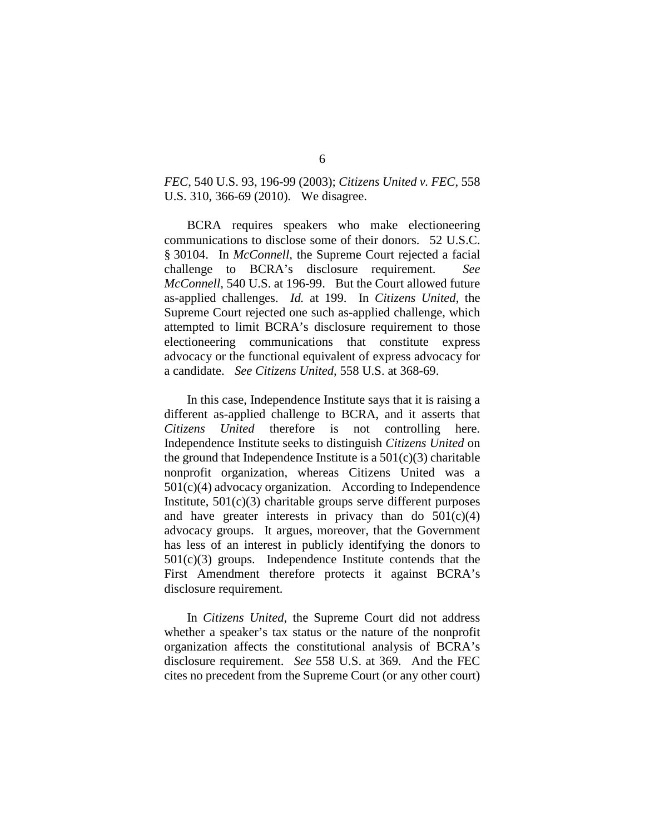## *FEC*, 540 U.S. 93, 196-99 (2003); *Citizens United v. FEC*, 558 U.S. 310, 366-69 (2010). We disagree.

BCRA requires speakers who make electioneering communications to disclose some of their donors. 52 U.S.C. § 30104. In *McConnell*, the Supreme Court rejected a facial challenge to BCRA's disclosure requirement. *See McConnell*, 540 U.S. at 196-99. But the Court allowed future as-applied challenges. *Id.* at 199. In *Citizens United*, the Supreme Court rejected one such as-applied challenge, which attempted to limit BCRA's disclosure requirement to those electioneering communications that constitute express advocacy or the functional equivalent of express advocacy for a candidate. *See Citizens United*, 558 U.S. at 368-69.

In this case, Independence Institute says that it is raising a different as-applied challenge to BCRA, and it asserts that *Citizens United* therefore is not controlling here. Independence Institute seeks to distinguish *Citizens United* on the ground that Independence Institute is a  $501(c)(3)$  charitable nonprofit organization, whereas Citizens United was a 501(c)(4) advocacy organization. According to Independence Institute,  $501(c)(3)$  charitable groups serve different purposes and have greater interests in privacy than do  $501(c)(4)$ advocacy groups. It argues, moreover, that the Government has less of an interest in publicly identifying the donors to 501(c)(3) groups. Independence Institute contends that the First Amendment therefore protects it against BCRA's disclosure requirement.

In *Citizens United*, the Supreme Court did not address whether a speaker's tax status or the nature of the nonprofit organization affects the constitutional analysis of BCRA's disclosure requirement. *See* 558 U.S. at 369. And the FEC cites no precedent from the Supreme Court (or any other court)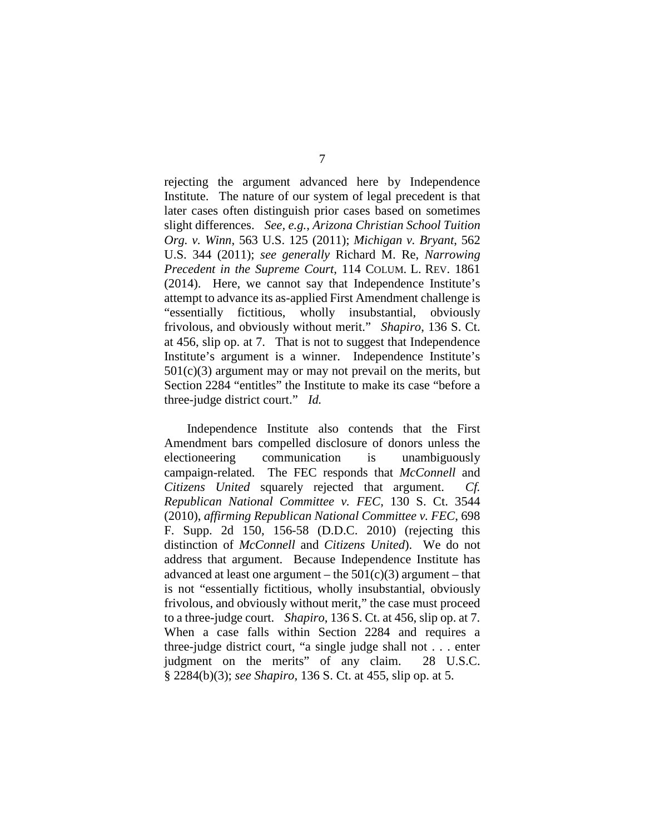rejecting the argument advanced here by Independence Institute. The nature of our system of legal precedent is that later cases often distinguish prior cases based on sometimes slight differences. *See, e.g.*, *Arizona Christian School Tuition Org. v. Winn*, 563 U.S. 125 (2011); *Michigan v. Bryant*, 562 U.S. 344 (2011); *see generally* Richard M. Re, *Narrowing Precedent in the Supreme Court*, 114 COLUM. L. REV. 1861 (2014). Here, we cannot say that Independence Institute's attempt to advance its as-applied First Amendment challenge is "essentially fictitious, wholly insubstantial, obviously frivolous, and obviously without merit." *Shapiro*, 136 S. Ct. at 456, slip op. at 7. That is not to suggest that Independence Institute's argument is a winner. Independence Institute's  $501(c)(3)$  argument may or may not prevail on the merits, but Section 2284 "entitles" the Institute to make its case "before a three-judge district court." *Id.*

Independence Institute also contends that the First Amendment bars compelled disclosure of donors unless the electioneering communication is unambiguously campaign-related. The FEC responds that *McConnell* and *Citizens United* squarely rejected that argument. *Cf. Republican National Committee v. FEC*, 130 S. Ct. 3544 (2010), *affirming Republican National Committee v. FEC*, 698 F. Supp. 2d 150, 156-58 (D.D.C. 2010) (rejecting this distinction of *McConnell* and *Citizens United*). We do not address that argument. Because Independence Institute has advanced at least one argument – the  $501(c)(3)$  argument – that is not "essentially fictitious, wholly insubstantial, obviously frivolous, and obviously without merit," the case must proceed to a three-judge court. *Shapiro*, 136 S. Ct. at 456, slip op. at 7. When a case falls within Section 2284 and requires a three-judge district court, "a single judge shall not . . . enter judgment on the merits" of any claim. 28 U.S.C. § 2284(b)(3); *see Shapiro*, 136 S. Ct. at 455, slip op. at 5.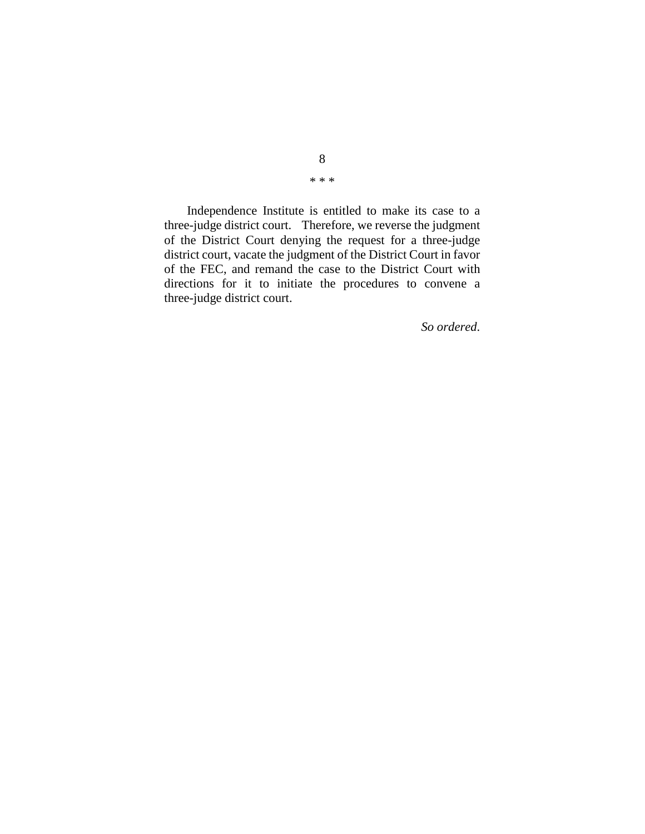Independence Institute is entitled to make its case to a three-judge district court. Therefore, we reverse the judgment of the District Court denying the request for a three-judge district court, vacate the judgment of the District Court in favor of the FEC, and remand the case to the District Court with directions for it to initiate the procedures to convene a three-judge district court.

*So ordered*.

8 \* \* \*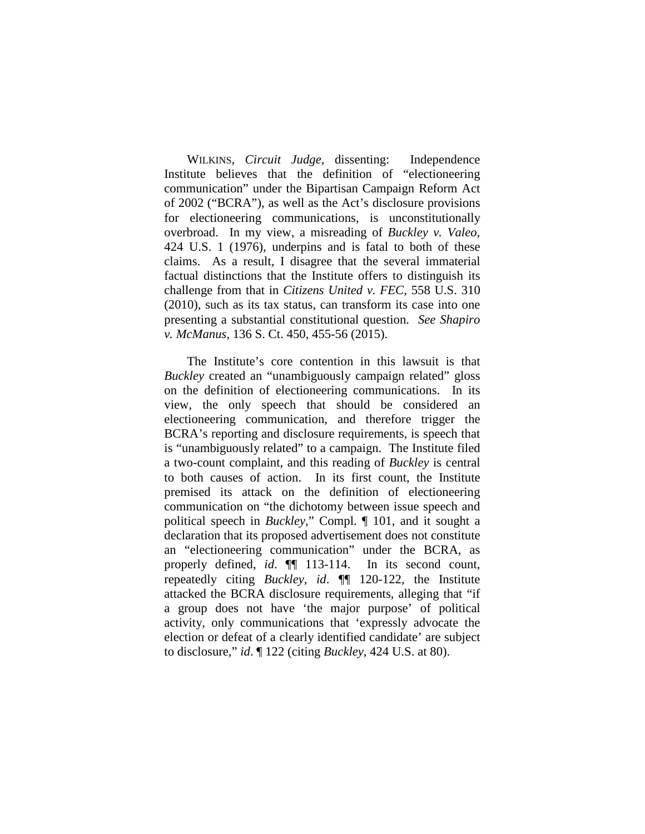WILKINS, *Circuit Judge*, dissenting: Independence Institute believes that the definition of "electioneering communication" under the Bipartisan Campaign Reform Act of 2002 ("BCRA"), as well as the Act's disclosure provisions for electioneering communications, is unconstitutionally overbroad. In my view, a misreading of *Buckley v. Valeo,* 424 U.S. 1 (1976), underpins and is fatal to both of these claims. As a result, I disagree that the several immaterial factual distinctions that the Institute offers to distinguish its challenge from that in *Citizens United v. FEC*, 558 U.S. 310 (2010), such as its tax status, can transform its case into one presenting a substantial constitutional question. *See Shapiro v. McManus*, 136 S. Ct. 450, 455-56 (2015).

The Institute's core contention in this lawsuit is that *Buckley* created an "unambiguously campaign related" gloss on the definition of electioneering communications. In its view, the only speech that should be considered an electioneering communication, and therefore trigger the BCRA's reporting and disclosure requirements, is speech that is "unambiguously related" to a campaign. The Institute filed a two-count complaint, and this reading of *Buckley* is central to both causes of action. In its first count, the Institute premised its attack on the definition of electioneering communication on "the dichotomy between issue speech and political speech in *Buckley*," Compl. ¶ 101, and it sought a declaration that its proposed advertisement does not constitute an "electioneering communication" under the BCRA, as properly defined, *id*. ¶¶ 113-114. In its second count, repeatedly citing *Buckley*, *id*. ¶¶ 120-122, the Institute attacked the BCRA disclosure requirements, alleging that "if a group does not have 'the major purpose' of political activity, only communications that 'expressly advocate the election or defeat of a clearly identified candidate' are subject to disclosure," *id*. ¶ 122 (citing *Buckley*, 424 U.S. at 80).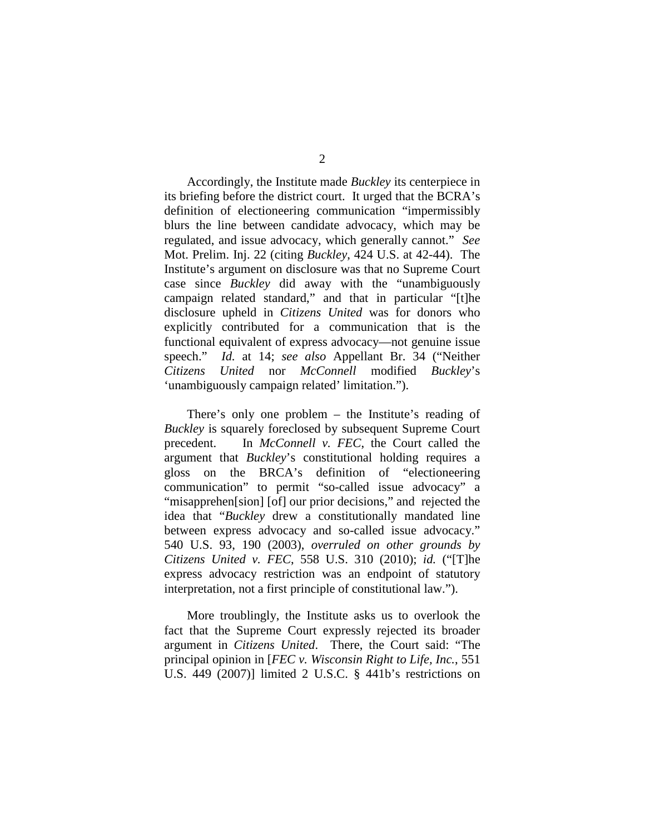Accordingly, the Institute made *Buckley* its centerpiece in its briefing before the district court. It urged that the BCRA's definition of electioneering communication "impermissibly blurs the line between candidate advocacy, which may be regulated, and issue advocacy, which generally cannot." *See* Mot. Prelim. Inj. 22 (citing *Buckley*, 424 U.S. at 42-44). The Institute's argument on disclosure was that no Supreme Court case since *Buckley* did away with the "unambiguously campaign related standard," and that in particular "[t]he disclosure upheld in *Citizens United* was for donors who explicitly contributed for a communication that is the functional equivalent of express advocacy—not genuine issue speech." *Id.* at 14; *see also* Appellant Br. 34 ("Neither *Citizens United* nor *McConnell* modified *Buckley*'s 'unambiguously campaign related' limitation.").

There's only one problem – the Institute's reading of *Buckley* is squarely foreclosed by subsequent Supreme Court precedent. In *McConnell v. FEC*, the Court called the argument that *Buckley*'s constitutional holding requires a gloss on the BRCA's definition of "electioneering communication" to permit "so-called issue advocacy" a "misapprehen[sion] [of] our prior decisions," and rejected the idea that "*Buckley* drew a constitutionally mandated line between express advocacy and so-called issue advocacy." 540 U.S. 93, 190 (2003), *overruled on other grounds by Citizens United v. FEC*, 558 U.S. 310 (2010); *id.* ("[T]he express advocacy restriction was an endpoint of statutory interpretation, not a first principle of constitutional law.").

More troublingly, the Institute asks us to overlook the fact that the Supreme Court expressly rejected its broader argument in *Citizens United*. There, the Court said: "The principal opinion in [*FEC v. Wisconsin Right to Life, Inc.*, 551 U.S. 449 (2007)] limited 2 U.S.C. § 441b's restrictions on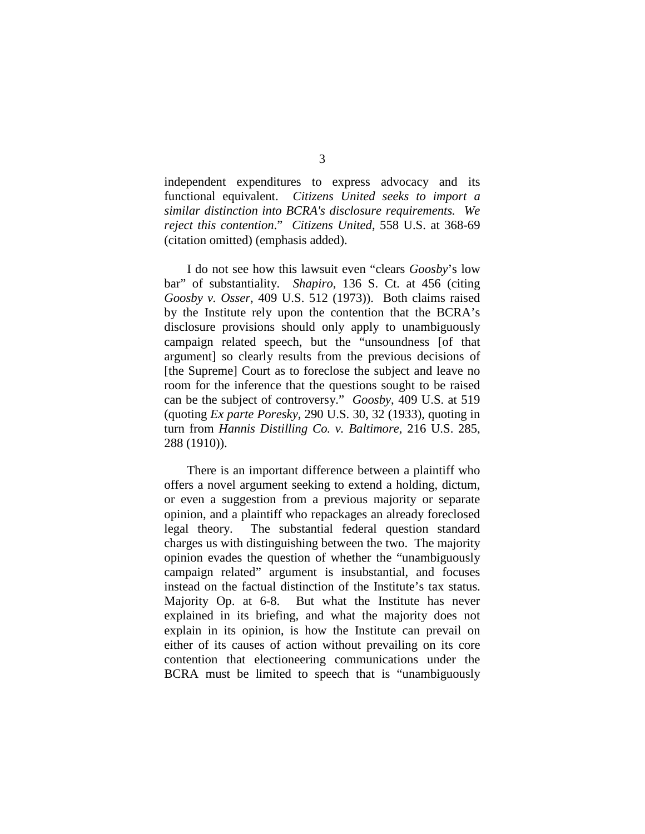independent expenditures to express advocacy and its functional equivalent. *Citizens United seeks to import a similar distinction into BCRA's disclosure requirements. We reject this contention*." *Citizens United*, 558 U.S. at 368-69 (citation omitted) (emphasis added).

I do not see how this lawsuit even "clears *Goosby*'s low bar" of substantiality. *Shapiro*, 136 S. Ct. at 456 (citing *Goosby v. Osser*, 409 U.S. 512 (1973)). Both claims raised by the Institute rely upon the contention that the BCRA's disclosure provisions should only apply to unambiguously campaign related speech, but the "unsoundness [of that argument] so clearly results from the previous decisions of [the Supreme] Court as to foreclose the subject and leave no room for the inference that the questions sought to be raised can be the subject of controversy." *Goosby*, 409 U.S. at 519 (quoting *Ex parte Poresky*, 290 U.S. 30, 32 (1933), quoting in turn from *Hannis Distilling Co. v. Baltimore*, 216 U.S. 285, 288 (1910)).

There is an important difference between a plaintiff who offers a novel argument seeking to extend a holding, dictum, or even a suggestion from a previous majority or separate opinion, and a plaintiff who repackages an already foreclosed legal theory. The substantial federal question standard charges us with distinguishing between the two. The majority opinion evades the question of whether the "unambiguously campaign related" argument is insubstantial, and focuses instead on the factual distinction of the Institute's tax status. Majority Op. at 6-8. But what the Institute has never explained in its briefing, and what the majority does not explain in its opinion, is how the Institute can prevail on either of its causes of action without prevailing on its core contention that electioneering communications under the BCRA must be limited to speech that is "unambiguously